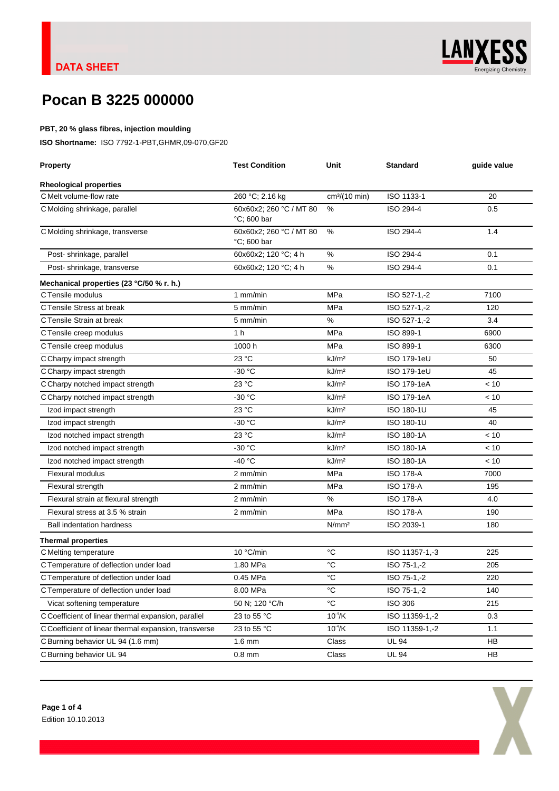

X

## **Pocan B 3225 000000**

### **PBT, 20 % glass fibres, injection moulding**

**ISO Shortname:** ISO 7792-1-PBT,GHMR,09-070,GF20

| <b>Property</b>                                       | <b>Test Condition</b>                  | Unit                      | <b>Standard</b>    | guide value |
|-------------------------------------------------------|----------------------------------------|---------------------------|--------------------|-------------|
| <b>Rheological properties</b>                         |                                        |                           |                    |             |
| C Melt volume-flow rate                               | 260 °C; 2.16 kg                        | cm <sup>3</sup> /(10 min) | ISO 1133-1         | 20          |
| C Molding shrinkage, parallel                         | 60x60x2; 260 °C / MT 80<br>°C; 600 bar | $\%$                      | ISO 294-4          | 0.5         |
| C Molding shrinkage, transverse                       | 60x60x2; 260 °C / MT 80<br>°C; 600 bar | $\%$                      | ISO 294-4          | 1.4         |
| Post-shrinkage, parallel                              | 60x60x2; 120 °C; 4 h                   | $\%$                      | ISO 294-4          | 0.1         |
| Post-shrinkage, transverse                            | 60x60x2; 120 °C; 4 h                   | $\%$                      | ISO 294-4          | 0.1         |
| Mechanical properties (23 °C/50 % r. h.)              |                                        |                           |                    |             |
| C Tensile modulus                                     | 1 mm/min                               | MPa                       | ISO 527-1,-2       | 7100        |
| C Tensile Stress at break                             | 5 mm/min                               | MPa                       | ISO 527-1,-2       | 120         |
| C Tensile Strain at break                             | 5 mm/min                               | $\%$                      | ISO 527-1,-2       | 3.4         |
| C Tensile creep modulus                               | 1 <sub>h</sub>                         | MPa                       | ISO 899-1          | 6900        |
| C Tensile creep modulus                               | 1000 h                                 | MPa                       | ISO 899-1          | 6300        |
| C Charpy impact strength                              | 23 °C                                  | kJ/m <sup>2</sup>         | <b>ISO 179-1eU</b> | 50          |
| C Charpy impact strength                              | $-30 °C$                               | kJ/m <sup>2</sup>         | ISO 179-1eU        | 45          |
| C Charpy notched impact strength                      | 23 °C                                  | kJ/m <sup>2</sup>         | ISO 179-1eA        | < 10        |
| C Charpy notched impact strength                      | $-30 °C$                               | kJ/m <sup>2</sup>         | ISO 179-1eA        | < 10        |
| Izod impact strength                                  | 23 °C                                  | kJ/m <sup>2</sup>         | ISO 180-1U         | 45          |
| Izod impact strength                                  | -30 °C                                 | kJ/m <sup>2</sup>         | ISO 180-1U         | 40          |
| Izod notched impact strength                          | 23 °C                                  | kJ/m <sup>2</sup>         | <b>ISO 180-1A</b>  | < 10        |
| Izod notched impact strength                          | $-30 °C$                               | kJ/m <sup>2</sup>         | <b>ISO 180-1A</b>  | < 10        |
| Izod notched impact strength                          | -40 °C                                 | kJ/m <sup>2</sup>         | ISO 180-1A         | < 10        |
| <b>Flexural modulus</b>                               | 2 mm/min                               | MPa                       | <b>ISO 178-A</b>   | 7000        |
| Flexural strength                                     | 2 mm/min                               | MPa                       | <b>ISO 178-A</b>   | 195         |
| Flexural strain at flexural strength                  | 2 mm/min                               | $\%$                      | <b>ISO 178-A</b>   | 4.0         |
| Flexural stress at 3.5 % strain                       | 2 mm/min                               | MPa                       | <b>ISO 178-A</b>   | 190         |
| <b>Ball indentation hardness</b>                      |                                        | N/mm <sup>2</sup>         | ISO 2039-1         | 180         |
| <b>Thermal properties</b>                             |                                        |                           |                    |             |
| C Melting temperature                                 | 10 °C/min                              | °C                        | ISO 11357-1,-3     | 225         |
| C Temperature of deflection under load                | 1.80 MPa                               | $^{\circ}C$               | ISO 75-1,-2        | 205         |
| C Temperature of deflection under load                | 0.45 MPa                               | $^{\circ}C$               | ISO 75-1,-2        | 220         |
| C Temperature of deflection under load                | 8.00 MPa                               | $^{\circ}C$               | ISO 75-1,-2        | 140         |
| Vicat softening temperature                           | 50 N; 120 °C/h                         | $^{\circ}{\rm C}$         | <b>ISO 306</b>     | 215         |
| C Coefficient of linear thermal expansion, parallel   | 23 to 55 °C                            | $10^{4}/K$                | ISO 11359-1,-2     | 0.3         |
| C Coefficient of linear thermal expansion, transverse | 23 to 55 °C                            | $10^{4}/K$                | ISO 11359-1,-2     | 1.1         |
| C Burning behavior UL 94 (1.6 mm)                     | $1.6 \text{ mm}$                       | Class                     | <b>UL 94</b>       | HB          |
| C Burning behavior UL 94                              | $0.8$ mm                               | Class                     | <b>UL 94</b>       | HB          |
|                                                       |                                        |                           |                    |             |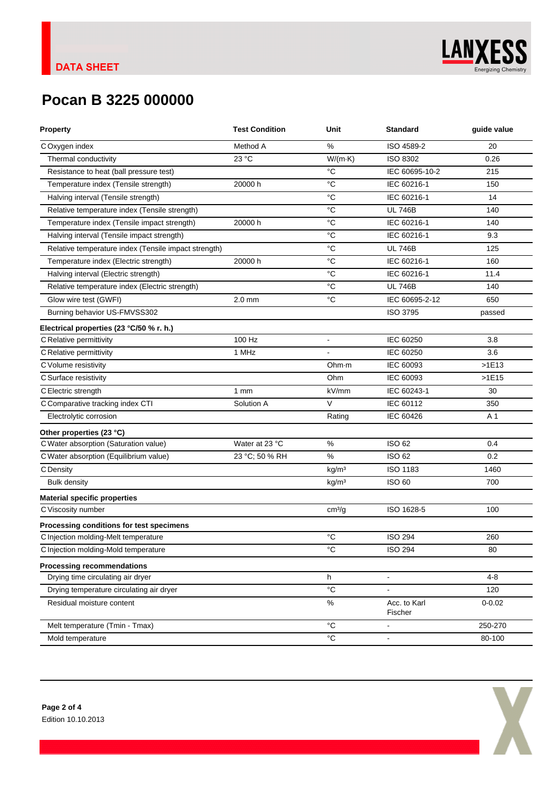

# **Pocan B 3225 000000**

| Method A<br>%<br>ISO 4589-2<br>20<br>COxygen index<br>23 °C<br>$W/(m \cdot K)$<br>Thermal conductivity<br>ISO 8302<br>0.26<br>°C<br>IEC 60695-10-2<br>Resistance to heat (ball pressure test)<br>215<br>°C<br>IEC 60216-1<br>Temperature index (Tensile strength)<br>20000 h<br>150<br>$^{\circ}C$<br>IEC 60216-1<br>Halving interval (Tensile strength)<br>14<br>°C<br><b>UL 746B</b><br>Relative temperature index (Tensile strength)<br>140<br>Temperature index (Tensile impact strength)<br>20000 h<br>°C<br>IEC 60216-1<br>140<br>Halving interval (Tensile impact strength)<br>$^{\circ}C$<br>IEC 60216-1<br>9.3<br>$^{\circ}C$<br>Relative temperature index (Tensile impact strength)<br><b>UL 746B</b><br>125<br>Temperature index (Electric strength)<br>20000 h<br>$^{\circ}C$<br>IEC 60216-1<br>160<br>Halving interval (Electric strength)<br>°C<br>IEC 60216-1<br>11.4<br>$^{\circ}C$<br><b>UL 746B</b><br>Relative temperature index (Electric strength)<br>140<br>$^{\circ}C$<br>IEC 60695-2-12<br>Glow wire test (GWFI)<br>$2.0$ mm<br>650<br>ISO 3795<br>Burning behavior US-FMVSS302<br>passed<br>Electrical properties (23 °C/50 % r. h.)<br>100 Hz<br>IEC 60250<br>C Relative permittivity<br>3.8<br>۰<br>1 MHz<br>IEC 60250<br>C Relative permittivity<br>3.6<br>IEC 60093<br>C Volume resistivity<br>Ohm·m<br>>1E13<br>IEC 60093<br>C Surface resistivity<br>Ohm<br>>1E15<br>C Electric strength<br>kV/mm<br>IEC 60243-1<br>1mm<br>30<br>V<br>IEC 60112<br>C Comparative tracking index CTI<br>Solution A<br>350<br>Electrolytic corrosion<br>IEC 60426<br>A 1<br>Rating<br>Other properties (23 °C)<br>C Water absorption (Saturation value)<br>Water at 23 °C<br>%<br><b>ISO 62</b><br>0.4<br>C Water absorption (Equilibrium value)<br>23 °C; 50 % RH<br>%<br><b>ISO 62</b><br>0.2<br>ISO 1183<br>C Density<br>kg/m <sup>3</sup><br>1460<br><b>ISO 60</b><br><b>Bulk density</b><br>kg/m <sup>3</sup><br>700<br><b>Material specific properties</b><br>C Viscosity number<br>ISO 1628-5<br>cm <sup>3</sup> /g<br>100<br>Processing conditions for test specimens<br>$^{\circ}C$<br><b>ISO 294</b><br>C Injection molding-Melt temperature<br>260<br>$^{\circ}C$<br>C Injection molding-Mold temperature<br><b>ISO 294</b><br>80<br><b>Processing recommendations</b><br>Drying time circulating air dryer<br>h<br>$4 - 8$<br>$\blacksquare$<br>°C<br>Drying temperature circulating air dryer<br>120<br>ä,<br>$\%$<br>Residual moisture content<br>Acc. to Karl<br>$0 - 0.02$<br>Fischer<br>$^{\circ}C$<br>250-270<br>Melt temperature (Tmin - Tmax)<br>$\overline{a}$<br>$^{\circ}C$<br>Mold temperature<br>80-100<br>$\overline{\phantom{a}}$ | <b>Property</b> | <b>Test Condition</b> | Unit | <b>Standard</b> | guide value |
|----------------------------------------------------------------------------------------------------------------------------------------------------------------------------------------------------------------------------------------------------------------------------------------------------------------------------------------------------------------------------------------------------------------------------------------------------------------------------------------------------------------------------------------------------------------------------------------------------------------------------------------------------------------------------------------------------------------------------------------------------------------------------------------------------------------------------------------------------------------------------------------------------------------------------------------------------------------------------------------------------------------------------------------------------------------------------------------------------------------------------------------------------------------------------------------------------------------------------------------------------------------------------------------------------------------------------------------------------------------------------------------------------------------------------------------------------------------------------------------------------------------------------------------------------------------------------------------------------------------------------------------------------------------------------------------------------------------------------------------------------------------------------------------------------------------------------------------------------------------------------------------------------------------------------------------------------------------------------------------------------------------------------------------------------------------------------------------------------------------------------------------------------------------------------------------------------------------------------------------------------------------------------------------------------------------------------------------------------------------------------------------------------------------------------------------------------------------------------------------------------------------------------------------------------------------------------------------------------------------------------------------------------------------------------|-----------------|-----------------------|------|-----------------|-------------|
|                                                                                                                                                                                                                                                                                                                                                                                                                                                                                                                                                                                                                                                                                                                                                                                                                                                                                                                                                                                                                                                                                                                                                                                                                                                                                                                                                                                                                                                                                                                                                                                                                                                                                                                                                                                                                                                                                                                                                                                                                                                                                                                                                                                                                                                                                                                                                                                                                                                                                                                                                                                                                                                                            |                 |                       |      |                 |             |
|                                                                                                                                                                                                                                                                                                                                                                                                                                                                                                                                                                                                                                                                                                                                                                                                                                                                                                                                                                                                                                                                                                                                                                                                                                                                                                                                                                                                                                                                                                                                                                                                                                                                                                                                                                                                                                                                                                                                                                                                                                                                                                                                                                                                                                                                                                                                                                                                                                                                                                                                                                                                                                                                            |                 |                       |      |                 |             |
|                                                                                                                                                                                                                                                                                                                                                                                                                                                                                                                                                                                                                                                                                                                                                                                                                                                                                                                                                                                                                                                                                                                                                                                                                                                                                                                                                                                                                                                                                                                                                                                                                                                                                                                                                                                                                                                                                                                                                                                                                                                                                                                                                                                                                                                                                                                                                                                                                                                                                                                                                                                                                                                                            |                 |                       |      |                 |             |
|                                                                                                                                                                                                                                                                                                                                                                                                                                                                                                                                                                                                                                                                                                                                                                                                                                                                                                                                                                                                                                                                                                                                                                                                                                                                                                                                                                                                                                                                                                                                                                                                                                                                                                                                                                                                                                                                                                                                                                                                                                                                                                                                                                                                                                                                                                                                                                                                                                                                                                                                                                                                                                                                            |                 |                       |      |                 |             |
|                                                                                                                                                                                                                                                                                                                                                                                                                                                                                                                                                                                                                                                                                                                                                                                                                                                                                                                                                                                                                                                                                                                                                                                                                                                                                                                                                                                                                                                                                                                                                                                                                                                                                                                                                                                                                                                                                                                                                                                                                                                                                                                                                                                                                                                                                                                                                                                                                                                                                                                                                                                                                                                                            |                 |                       |      |                 |             |
|                                                                                                                                                                                                                                                                                                                                                                                                                                                                                                                                                                                                                                                                                                                                                                                                                                                                                                                                                                                                                                                                                                                                                                                                                                                                                                                                                                                                                                                                                                                                                                                                                                                                                                                                                                                                                                                                                                                                                                                                                                                                                                                                                                                                                                                                                                                                                                                                                                                                                                                                                                                                                                                                            |                 |                       |      |                 |             |
|                                                                                                                                                                                                                                                                                                                                                                                                                                                                                                                                                                                                                                                                                                                                                                                                                                                                                                                                                                                                                                                                                                                                                                                                                                                                                                                                                                                                                                                                                                                                                                                                                                                                                                                                                                                                                                                                                                                                                                                                                                                                                                                                                                                                                                                                                                                                                                                                                                                                                                                                                                                                                                                                            |                 |                       |      |                 |             |
|                                                                                                                                                                                                                                                                                                                                                                                                                                                                                                                                                                                                                                                                                                                                                                                                                                                                                                                                                                                                                                                                                                                                                                                                                                                                                                                                                                                                                                                                                                                                                                                                                                                                                                                                                                                                                                                                                                                                                                                                                                                                                                                                                                                                                                                                                                                                                                                                                                                                                                                                                                                                                                                                            |                 |                       |      |                 |             |
|                                                                                                                                                                                                                                                                                                                                                                                                                                                                                                                                                                                                                                                                                                                                                                                                                                                                                                                                                                                                                                                                                                                                                                                                                                                                                                                                                                                                                                                                                                                                                                                                                                                                                                                                                                                                                                                                                                                                                                                                                                                                                                                                                                                                                                                                                                                                                                                                                                                                                                                                                                                                                                                                            |                 |                       |      |                 |             |
|                                                                                                                                                                                                                                                                                                                                                                                                                                                                                                                                                                                                                                                                                                                                                                                                                                                                                                                                                                                                                                                                                                                                                                                                                                                                                                                                                                                                                                                                                                                                                                                                                                                                                                                                                                                                                                                                                                                                                                                                                                                                                                                                                                                                                                                                                                                                                                                                                                                                                                                                                                                                                                                                            |                 |                       |      |                 |             |
|                                                                                                                                                                                                                                                                                                                                                                                                                                                                                                                                                                                                                                                                                                                                                                                                                                                                                                                                                                                                                                                                                                                                                                                                                                                                                                                                                                                                                                                                                                                                                                                                                                                                                                                                                                                                                                                                                                                                                                                                                                                                                                                                                                                                                                                                                                                                                                                                                                                                                                                                                                                                                                                                            |                 |                       |      |                 |             |
|                                                                                                                                                                                                                                                                                                                                                                                                                                                                                                                                                                                                                                                                                                                                                                                                                                                                                                                                                                                                                                                                                                                                                                                                                                                                                                                                                                                                                                                                                                                                                                                                                                                                                                                                                                                                                                                                                                                                                                                                                                                                                                                                                                                                                                                                                                                                                                                                                                                                                                                                                                                                                                                                            |                 |                       |      |                 |             |
|                                                                                                                                                                                                                                                                                                                                                                                                                                                                                                                                                                                                                                                                                                                                                                                                                                                                                                                                                                                                                                                                                                                                                                                                                                                                                                                                                                                                                                                                                                                                                                                                                                                                                                                                                                                                                                                                                                                                                                                                                                                                                                                                                                                                                                                                                                                                                                                                                                                                                                                                                                                                                                                                            |                 |                       |      |                 |             |
|                                                                                                                                                                                                                                                                                                                                                                                                                                                                                                                                                                                                                                                                                                                                                                                                                                                                                                                                                                                                                                                                                                                                                                                                                                                                                                                                                                                                                                                                                                                                                                                                                                                                                                                                                                                                                                                                                                                                                                                                                                                                                                                                                                                                                                                                                                                                                                                                                                                                                                                                                                                                                                                                            |                 |                       |      |                 |             |
|                                                                                                                                                                                                                                                                                                                                                                                                                                                                                                                                                                                                                                                                                                                                                                                                                                                                                                                                                                                                                                                                                                                                                                                                                                                                                                                                                                                                                                                                                                                                                                                                                                                                                                                                                                                                                                                                                                                                                                                                                                                                                                                                                                                                                                                                                                                                                                                                                                                                                                                                                                                                                                                                            |                 |                       |      |                 |             |
|                                                                                                                                                                                                                                                                                                                                                                                                                                                                                                                                                                                                                                                                                                                                                                                                                                                                                                                                                                                                                                                                                                                                                                                                                                                                                                                                                                                                                                                                                                                                                                                                                                                                                                                                                                                                                                                                                                                                                                                                                                                                                                                                                                                                                                                                                                                                                                                                                                                                                                                                                                                                                                                                            |                 |                       |      |                 |             |
|                                                                                                                                                                                                                                                                                                                                                                                                                                                                                                                                                                                                                                                                                                                                                                                                                                                                                                                                                                                                                                                                                                                                                                                                                                                                                                                                                                                                                                                                                                                                                                                                                                                                                                                                                                                                                                                                                                                                                                                                                                                                                                                                                                                                                                                                                                                                                                                                                                                                                                                                                                                                                                                                            |                 |                       |      |                 |             |
|                                                                                                                                                                                                                                                                                                                                                                                                                                                                                                                                                                                                                                                                                                                                                                                                                                                                                                                                                                                                                                                                                                                                                                                                                                                                                                                                                                                                                                                                                                                                                                                                                                                                                                                                                                                                                                                                                                                                                                                                                                                                                                                                                                                                                                                                                                                                                                                                                                                                                                                                                                                                                                                                            |                 |                       |      |                 |             |
|                                                                                                                                                                                                                                                                                                                                                                                                                                                                                                                                                                                                                                                                                                                                                                                                                                                                                                                                                                                                                                                                                                                                                                                                                                                                                                                                                                                                                                                                                                                                                                                                                                                                                                                                                                                                                                                                                                                                                                                                                                                                                                                                                                                                                                                                                                                                                                                                                                                                                                                                                                                                                                                                            |                 |                       |      |                 |             |
|                                                                                                                                                                                                                                                                                                                                                                                                                                                                                                                                                                                                                                                                                                                                                                                                                                                                                                                                                                                                                                                                                                                                                                                                                                                                                                                                                                                                                                                                                                                                                                                                                                                                                                                                                                                                                                                                                                                                                                                                                                                                                                                                                                                                                                                                                                                                                                                                                                                                                                                                                                                                                                                                            |                 |                       |      |                 |             |
|                                                                                                                                                                                                                                                                                                                                                                                                                                                                                                                                                                                                                                                                                                                                                                                                                                                                                                                                                                                                                                                                                                                                                                                                                                                                                                                                                                                                                                                                                                                                                                                                                                                                                                                                                                                                                                                                                                                                                                                                                                                                                                                                                                                                                                                                                                                                                                                                                                                                                                                                                                                                                                                                            |                 |                       |      |                 |             |
|                                                                                                                                                                                                                                                                                                                                                                                                                                                                                                                                                                                                                                                                                                                                                                                                                                                                                                                                                                                                                                                                                                                                                                                                                                                                                                                                                                                                                                                                                                                                                                                                                                                                                                                                                                                                                                                                                                                                                                                                                                                                                                                                                                                                                                                                                                                                                                                                                                                                                                                                                                                                                                                                            |                 |                       |      |                 |             |
|                                                                                                                                                                                                                                                                                                                                                                                                                                                                                                                                                                                                                                                                                                                                                                                                                                                                                                                                                                                                                                                                                                                                                                                                                                                                                                                                                                                                                                                                                                                                                                                                                                                                                                                                                                                                                                                                                                                                                                                                                                                                                                                                                                                                                                                                                                                                                                                                                                                                                                                                                                                                                                                                            |                 |                       |      |                 |             |
|                                                                                                                                                                                                                                                                                                                                                                                                                                                                                                                                                                                                                                                                                                                                                                                                                                                                                                                                                                                                                                                                                                                                                                                                                                                                                                                                                                                                                                                                                                                                                                                                                                                                                                                                                                                                                                                                                                                                                                                                                                                                                                                                                                                                                                                                                                                                                                                                                                                                                                                                                                                                                                                                            |                 |                       |      |                 |             |
|                                                                                                                                                                                                                                                                                                                                                                                                                                                                                                                                                                                                                                                                                                                                                                                                                                                                                                                                                                                                                                                                                                                                                                                                                                                                                                                                                                                                                                                                                                                                                                                                                                                                                                                                                                                                                                                                                                                                                                                                                                                                                                                                                                                                                                                                                                                                                                                                                                                                                                                                                                                                                                                                            |                 |                       |      |                 |             |
|                                                                                                                                                                                                                                                                                                                                                                                                                                                                                                                                                                                                                                                                                                                                                                                                                                                                                                                                                                                                                                                                                                                                                                                                                                                                                                                                                                                                                                                                                                                                                                                                                                                                                                                                                                                                                                                                                                                                                                                                                                                                                                                                                                                                                                                                                                                                                                                                                                                                                                                                                                                                                                                                            |                 |                       |      |                 |             |
|                                                                                                                                                                                                                                                                                                                                                                                                                                                                                                                                                                                                                                                                                                                                                                                                                                                                                                                                                                                                                                                                                                                                                                                                                                                                                                                                                                                                                                                                                                                                                                                                                                                                                                                                                                                                                                                                                                                                                                                                                                                                                                                                                                                                                                                                                                                                                                                                                                                                                                                                                                                                                                                                            |                 |                       |      |                 |             |
|                                                                                                                                                                                                                                                                                                                                                                                                                                                                                                                                                                                                                                                                                                                                                                                                                                                                                                                                                                                                                                                                                                                                                                                                                                                                                                                                                                                                                                                                                                                                                                                                                                                                                                                                                                                                                                                                                                                                                                                                                                                                                                                                                                                                                                                                                                                                                                                                                                                                                                                                                                                                                                                                            |                 |                       |      |                 |             |
|                                                                                                                                                                                                                                                                                                                                                                                                                                                                                                                                                                                                                                                                                                                                                                                                                                                                                                                                                                                                                                                                                                                                                                                                                                                                                                                                                                                                                                                                                                                                                                                                                                                                                                                                                                                                                                                                                                                                                                                                                                                                                                                                                                                                                                                                                                                                                                                                                                                                                                                                                                                                                                                                            |                 |                       |      |                 |             |
|                                                                                                                                                                                                                                                                                                                                                                                                                                                                                                                                                                                                                                                                                                                                                                                                                                                                                                                                                                                                                                                                                                                                                                                                                                                                                                                                                                                                                                                                                                                                                                                                                                                                                                                                                                                                                                                                                                                                                                                                                                                                                                                                                                                                                                                                                                                                                                                                                                                                                                                                                                                                                                                                            |                 |                       |      |                 |             |
|                                                                                                                                                                                                                                                                                                                                                                                                                                                                                                                                                                                                                                                                                                                                                                                                                                                                                                                                                                                                                                                                                                                                                                                                                                                                                                                                                                                                                                                                                                                                                                                                                                                                                                                                                                                                                                                                                                                                                                                                                                                                                                                                                                                                                                                                                                                                                                                                                                                                                                                                                                                                                                                                            |                 |                       |      |                 |             |
|                                                                                                                                                                                                                                                                                                                                                                                                                                                                                                                                                                                                                                                                                                                                                                                                                                                                                                                                                                                                                                                                                                                                                                                                                                                                                                                                                                                                                                                                                                                                                                                                                                                                                                                                                                                                                                                                                                                                                                                                                                                                                                                                                                                                                                                                                                                                                                                                                                                                                                                                                                                                                                                                            |                 |                       |      |                 |             |
|                                                                                                                                                                                                                                                                                                                                                                                                                                                                                                                                                                                                                                                                                                                                                                                                                                                                                                                                                                                                                                                                                                                                                                                                                                                                                                                                                                                                                                                                                                                                                                                                                                                                                                                                                                                                                                                                                                                                                                                                                                                                                                                                                                                                                                                                                                                                                                                                                                                                                                                                                                                                                                                                            |                 |                       |      |                 |             |
|                                                                                                                                                                                                                                                                                                                                                                                                                                                                                                                                                                                                                                                                                                                                                                                                                                                                                                                                                                                                                                                                                                                                                                                                                                                                                                                                                                                                                                                                                                                                                                                                                                                                                                                                                                                                                                                                                                                                                                                                                                                                                                                                                                                                                                                                                                                                                                                                                                                                                                                                                                                                                                                                            |                 |                       |      |                 |             |
|                                                                                                                                                                                                                                                                                                                                                                                                                                                                                                                                                                                                                                                                                                                                                                                                                                                                                                                                                                                                                                                                                                                                                                                                                                                                                                                                                                                                                                                                                                                                                                                                                                                                                                                                                                                                                                                                                                                                                                                                                                                                                                                                                                                                                                                                                                                                                                                                                                                                                                                                                                                                                                                                            |                 |                       |      |                 |             |
|                                                                                                                                                                                                                                                                                                                                                                                                                                                                                                                                                                                                                                                                                                                                                                                                                                                                                                                                                                                                                                                                                                                                                                                                                                                                                                                                                                                                                                                                                                                                                                                                                                                                                                                                                                                                                                                                                                                                                                                                                                                                                                                                                                                                                                                                                                                                                                                                                                                                                                                                                                                                                                                                            |                 |                       |      |                 |             |
|                                                                                                                                                                                                                                                                                                                                                                                                                                                                                                                                                                                                                                                                                                                                                                                                                                                                                                                                                                                                                                                                                                                                                                                                                                                                                                                                                                                                                                                                                                                                                                                                                                                                                                                                                                                                                                                                                                                                                                                                                                                                                                                                                                                                                                                                                                                                                                                                                                                                                                                                                                                                                                                                            |                 |                       |      |                 |             |
|                                                                                                                                                                                                                                                                                                                                                                                                                                                                                                                                                                                                                                                                                                                                                                                                                                                                                                                                                                                                                                                                                                                                                                                                                                                                                                                                                                                                                                                                                                                                                                                                                                                                                                                                                                                                                                                                                                                                                                                                                                                                                                                                                                                                                                                                                                                                                                                                                                                                                                                                                                                                                                                                            |                 |                       |      |                 |             |

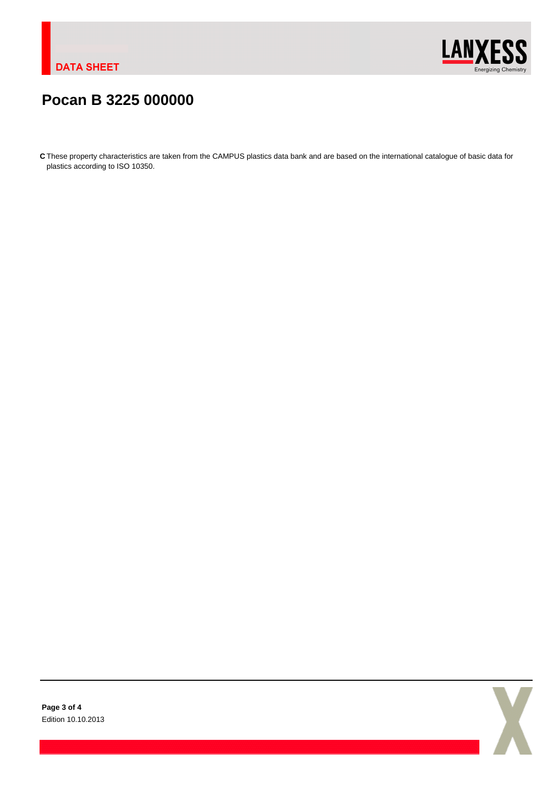

## **Pocan B 3225 000000**

**C** These property characteristics are taken from the CAMPUS plastics data bank and are based on the international catalogue of basic data for plastics according to ISO 10350.

**Page 3 of 4** Edition 10.10.2013